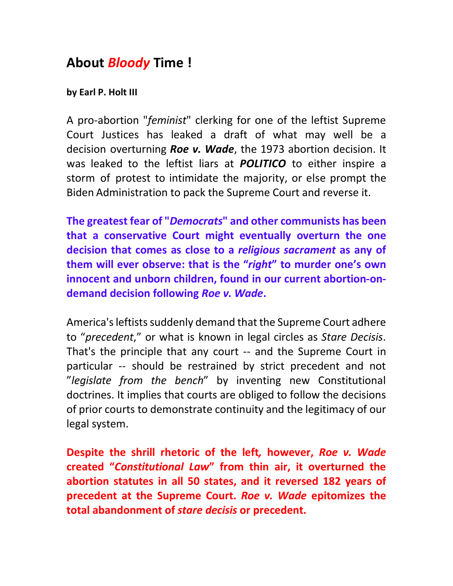## **About** *Bloody* **Time !**

## **by Earl P. Holt III**

A pro-abortion "*feminist*" clerking for one of the leftist Supreme Court Justices has leaked a draft of what may well be a decision overturning *Roe v. Wade*, the 1973 abortion decision. It was leaked to the leftist liars at *POLITICO* to either inspire a storm of protest to intimidate the majority, or else prompt the Biden Administration to pack the Supreme Court and reverse it.

**The greatest fear of "***Democrats***" and other communists has been that a conservative Court might eventually overturn the one decision that comes as close to a** *religious sacrament* **as any of them will ever observe: that is the "***right***" to murder one's own innocent and unborn children, found in our current abortion-ondemand decision following** *Roe v. Wade***.** 

America's leftists suddenly demand that the Supreme Court adhere to "*precedent*," or what is known in legal circles as *Stare Decisis*. That's the principle that any court -- and the Supreme Court in particular -- should be restrained by strict precedent and not "*legislate from the bench*" by inventing new Constitutional doctrines. It implies that courts are obliged to follow the decisions of prior courts to demonstrate continuity and the legitimacy of our legal system.

**Despite the shrill rhetoric of the left***,* **however,** *Roe v. Wade* **created "***Constitutional Law***" from thin air, it overturned the abortion statutes in all 50 states, and it reversed 182 years of precedent at the Supreme Court.** *Roe v. Wade* **epitomizes the total abandonment of** *stare decisis* **or precedent.**